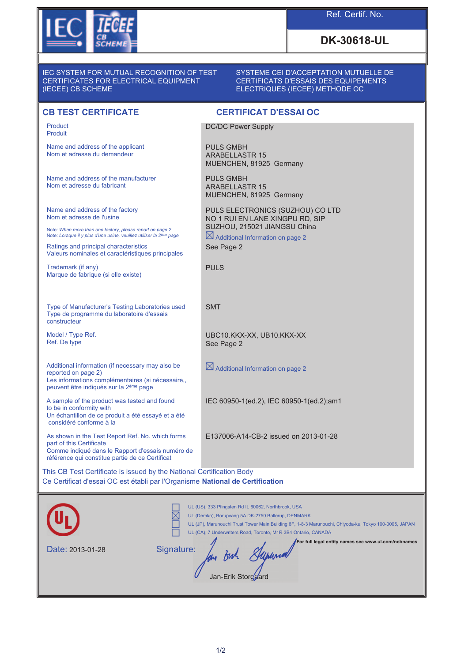

## Ref. Certif. No.

# **DK-30618-UL**

#### IEC SYSTEM FOR MUTUAL RECOGNITION OF TEST CERTIFICATES FOR ELECTRICAL EQUIPMENT (IECEE) CB SCHEME

#### SYSTEME CEI D'ACCEPTATION MUTUELLE DE CERTIFICATS D'ESSAIS DES EQUIPEMENTS ELECTRIQUES (IECEE) METHODE OC

### **CB TEST CERTIFICATE CERTIFICAT D'ESSAI OC**

Product Produit

Name and address of the applicant Nom et adresse du demandeur

Name and address of the manufacturer Nom et adresse du fabricant

Name and address of the factory Nom et adresse de l'usine

Note: *When more than one factory, please report on page 2* Note: *Lorsque il y plus d'une usine, veuillez utiliser la 2ème page*

Ratings and principal characteristics Valeurs nominales et caractéristiques principales

Trademark (if any) Marque de fabrique (si elle existe)

Type of Manufacturer's Testing Laboratories used Type de programme du laboratoire d'essais constructeur

Model / Type Ref. Ref. De type

Additional information (if necessary may also be reported on page 2) Les informations complémentaires (si nécessaire, peuvent être indiqués sur la 2ème page

A sample of the product was tested and found to be in conformity with Un échantillon de ce produit a été essayé et a été considéré conforme à la

As shown in the Test Report Ref. No. which forms part of this Certificate Comme indiqué dans le Rapport d'essais numéro de référence qui constitue partie de ce Certificat

DC/DC Power Supply

PULS GMBH ARABELLASTR 15 MUENCHEN, 81925 Germany

PULS GMBH ARABELLASTR 15 MUENCHEN, 81925 Germany

PULS ELECTRONICS (SUZHOU) CO LTD NO 1 RUI EN LANE XINGPU RD, SIP SUZHOU, 215021 JIANGSU China

 $\boxtimes$  Additional Information on page 2 See Page 2

PULS

SMT

UBC10.KKX-XX, UB10.KKX-XX See Page 2

 $\boxtimes$  Additional Information on page 2

IEC 60950-1(ed.2), IEC 60950-1(ed.2);am1

E137006-A14-CB-2 issued on 2013-01-28

This CB Test Certificate is issued by the National Certification Body Ce Certificat d'essai OC est établi par l'Organisme **National de Certification**

|                  | UL (US), 333 Pfingsten Rd IL 60062, Northbrook, USA<br>UL (Demko), Borupvang 5A DK-2750 Ballerup, DENMARK<br>UL (JP), Marunouchi Trust Tower Main Building 6F, 1-8-3 Marunouchi, Chiyoda-ku, Tokyo 100-0005, JAPAN<br>UL (CA), 7 Underwriters Road, Toronto, M1R 3B4 Ontario, CANADA |
|------------------|--------------------------------------------------------------------------------------------------------------------------------------------------------------------------------------------------------------------------------------------------------------------------------------|
| Date: 2013-01-28 | For full legal entity names see www.ul.com/ncbnames<br>Signature:<br>Jan-Erik Storgard                                                                                                                                                                                               |